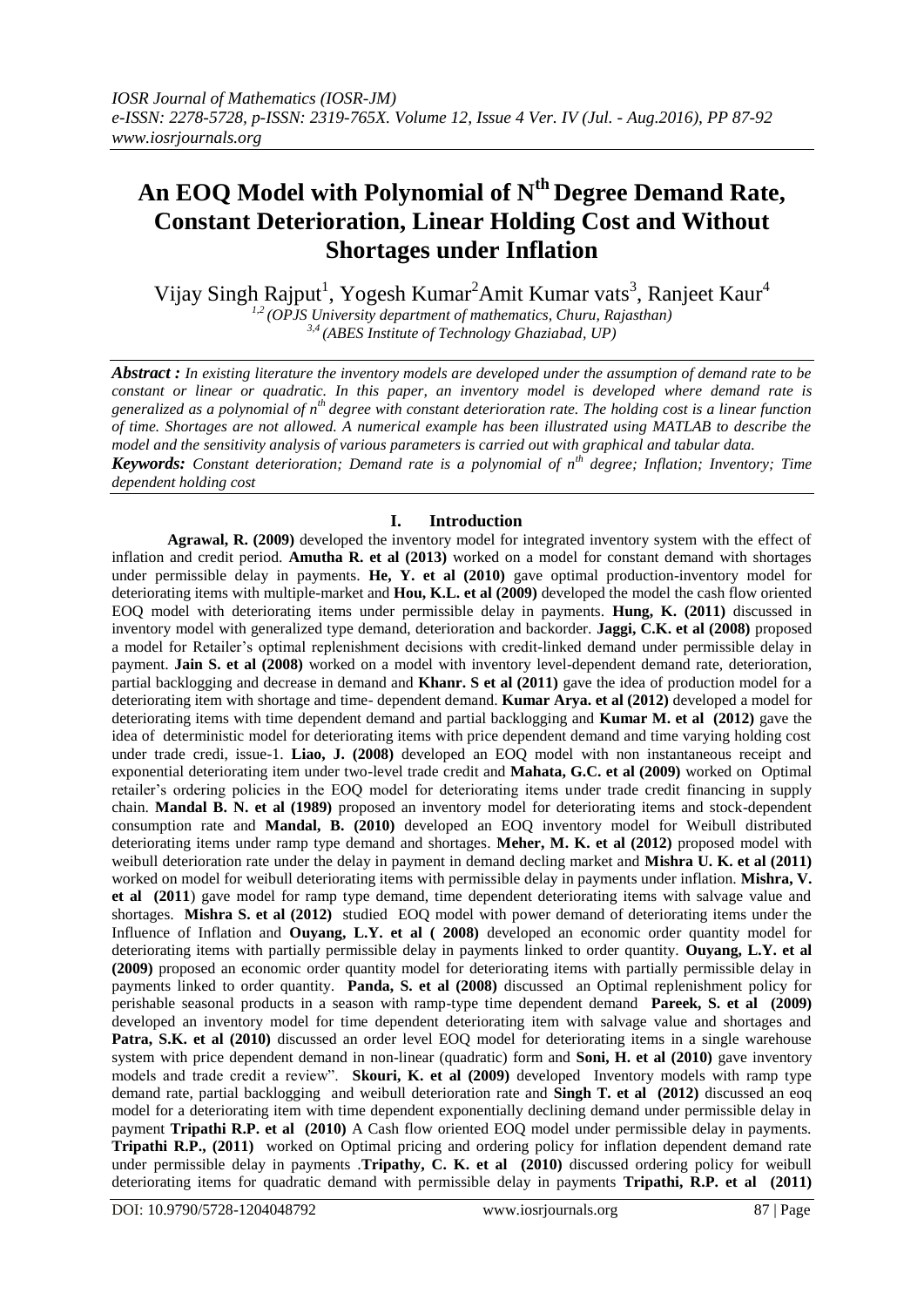# **An EOQ Model with Polynomial of Nth Degree Demand Rate, Constant Deterioration, Linear Holding Cost and Without Shortages under Inflation**

Vijay Singh Rajput<sup>1</sup>, Yogesh Kumar<sup>2</sup>Amit Kumar vats<sup>3</sup>, Ranjeet Kaur<sup>4</sup> *1,2 (OPJS University department of mathematics, Churu, Rajasthan) 3,4 (ABES Institute of Technology Ghaziabad, UP)*

*Abstract : In existing literature the inventory models are developed under the assumption of demand rate to be constant or linear or quadratic. In this paper, an inventory model is developed where demand rate is generalized as a polynomial of nth degree with constant deterioration rate. The holding cost is a linear function of time. Shortages are not allowed. A numerical example has been illustrated using MATLAB to describe the model and the sensitivity analysis of various parameters is carried out with graphical and tabular data. Keywords: Constant deterioration; Demand rate is a polynomial of nth degree; Inflation; Inventory; Time* 

*dependent holding cost*

# **I. Introduction**

**Agrawal, R. (2009)** developed the inventory model for integrated inventory system with the effect of inflation and credit period. **Amutha R. et al (2013)** worked on a model for constant demand with shortages under permissible delay in payments. **He, Y. et al (2010)** gave optimal production-inventory model for deteriorating items with multiple-market and **Hou, K.L. et al (2009)** developed the model the cash flow oriented EOQ model with deteriorating items under permissible delay in payments. **Hung, K. (2011)** discussed in inventory model with generalized type demand, deterioration and backorder. **Jaggi, C.K. et al (2008)** proposed a model for Retailer's optimal replenishment decisions with credit-linked demand under permissible delay in payment. **Jain S. et al (2008)** worked on a model with inventory level-dependent demand rate, deterioration, partial backlogging and decrease in demand and **Khanr. S et al (2011)** gave the idea of production model for a deteriorating item with shortage and time- dependent demand. **Kumar Arya. et al (2012)** developed a model for deteriorating items with time dependent demand and partial backlogging and **Kumar M. et al (2012)** gave the idea of deterministic model for deteriorating items with price dependent demand and time varying holding cost under trade credi, issue-1. **Liao, J. (2008)** developed an EOQ model with non instantaneous receipt and exponential deteriorating item under two-level trade credit and **Mahata, G.C. et al (2009)** worked on Optimal retailer's ordering policies in the EOQ model for deteriorating items under trade credit financing in supply chain. **Mandal B. N. et al (1989)** proposed an inventory model for deteriorating items and stock-dependent consumption rate and **Mandal, B. (2010)** developed an EOQ inventory model for Weibull distributed deteriorating items under ramp type demand and shortages. **Meher, M. K. et al (2012)** proposed model with weibull deterioration rate under the delay in payment in demand decling market and **Mishra U. K. et al (2011)**  worked on model for weibull deteriorating items with permissible delay in payments under inflation. **Mishra, V. et al (2011**) gave model for ramp type demand, time dependent deteriorating items with salvage value and shortages. **Mishra S. et al (2012)** studied EOQ model with power demand of deteriorating items under the Influence of Inflation and **Ouyang, L.Y. et al ( 2008)** developed an economic order quantity model for deteriorating items with partially permissible delay in payments linked to order quantity. **Ouyang, L.Y. et al (2009)** proposed an economic order quantity model for deteriorating items with partially permissible delay in payments linked to order quantity. **Panda, S. et al (2008)** discussed an Optimal replenishment policy for perishable seasonal products in a season with ramp-type time dependent demand **Pareek, S. et al (2009)**  developed an inventory model for time dependent deteriorating item with salvage value and shortages and **Patra, S.K. et al (2010)** discussed an order level EOQ model for deteriorating items in a single warehouse system with price dependent demand in non-linear (quadratic) form and **Soni, H. et al (2010)** gave inventory models and trade credit a review". **Skouri, K. et al (2009)** developed Inventory models with ramp type demand rate, partial backlogging and weibull deterioration rate and **Singh T. et al (2012)** discussed an eoq model for a deteriorating item with time dependent exponentially declining demand under permissible delay in payment **Tripathi R.P. et al (2010)** A Cash flow oriented EOQ model under permissible delay in payments. **Tripathi R.P., (2011)** worked on Optimal pricing and ordering policy for inflation dependent demand rate under permissible delay in payments .**Tripathy, C. K. et al (2010)** discussed ordering policy for weibull deteriorating items for quadratic demand with permissible delay in payments **Tripathi, R.P. et al (2011)**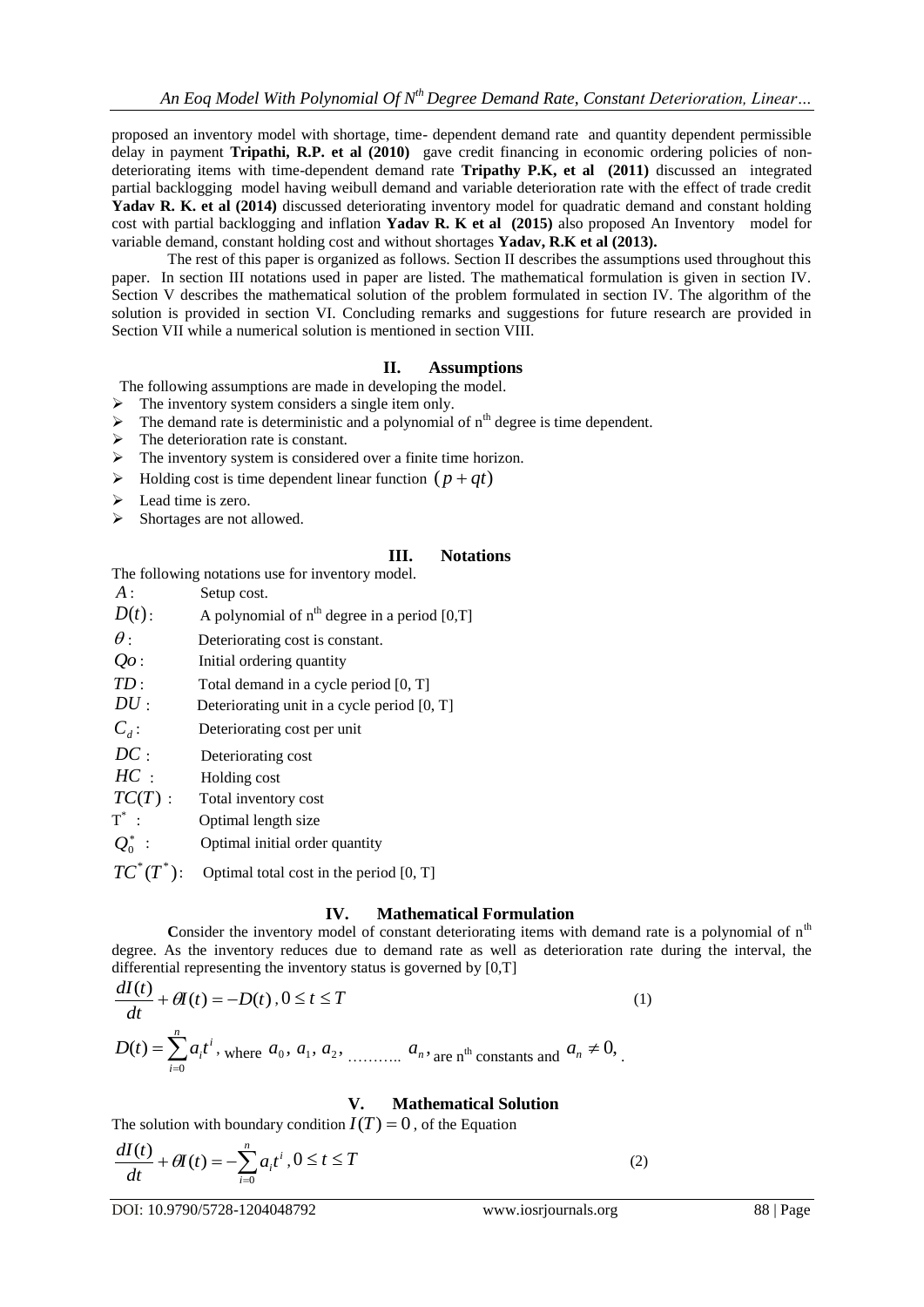proposed an inventory model with shortage, time- dependent demand rate and quantity dependent permissible delay in payment **Tripathi, R.P. et al (2010)** gave credit financing in economic ordering policies of nondeteriorating items with time-dependent demand rate **Tripathy P.K, et al (2011)** discussed an integrated partial backlogging model having weibull demand and variable deterioration rate with the effect of trade credit **Yadav R. K. et al (2014)** discussed deteriorating inventory model for quadratic demand and constant holding cost with partial backlogging and inflation **Yadav R. K et al (2015)** also proposed An Inventory model for variable demand, constant holding cost and without shortages **Yadav, R.K et al (2013).** 

The rest of this paper is organized as follows. Section II describes the assumptions used throughout this paper. In section III notations used in paper are listed. The mathematical formulation is given in section IV. Section V describes the mathematical solution of the problem formulated in section IV. The algorithm of the solution is provided in section VI. Concluding remarks and suggestions for future research are provided in Section VII while a numerical solution is mentioned in section VIII.

## **II. Assumptions**

The following assumptions are made in developing the model.

- $\triangleright$  The inventory system considers a single item only.
- $\triangleright$  The demand rate is deterministic and a polynomial of  $n<sup>th</sup>$  degree is time dependent.
- $\triangleright$  The deterioration rate is constant.
- $\triangleright$  The inventory system is considered over a finite time horizon.
- $\triangleright$  Holding cost is time dependent linear function  $(p+qt)$
- $\blacktriangleright$  Lead time is zero.
- Shortages are not allowed.

## **III. Notations**

The following notations use for inventory model.

| $A \cdot$     | Setup cost.                                       |
|---------------|---------------------------------------------------|
| $D(t)$ :      | A polynomial of $n^{th}$ degree in a period [0,T] |
| $\theta$ :    | Deteriorating cost is constant.                   |
| $Qo$ :        | Initial ordering quantity                         |
| TD:           | Total demand in a cycle period [0, T]             |
| DU:           | Deteriorating unit in a cycle period $[0, T]$     |
| $C_{d}$ :     | Deteriorating cost per unit                       |
| DC:           | Deteriorating cost                                |
| $HC$ :        | Holding cost                                      |
| $TC(T)$ :     | Total inventory cost                              |
| $T^*$ :       | Optimal length size                               |
| $Q_0^*$ :     | Optimal initial order quantity                    |
| $TC^*(T^*)$ : | Optimal total cost in the period [0, T]           |

## **IV. Mathematical Formulation**

**Consider the inventory model of constant deteriorating items with demand rate is a polynomial of**  $n<sup>th</sup>$ degree. As the inventory reduces due to demand rate as well as deterioration rate during the interval, the differential representing the inventory status is governed by [0,T]

$$
\frac{dI(t)}{dt} + \theta I(t) = -D(t), 0 \le t \le T
$$
\n
$$
D(t) = \sum_{i=0}^{n} a_i t^i, \text{ where } a_0, a_1, a_2, \dots, a_n, \text{ are nth constants and } a_n \ne 0,
$$
\n(1)

## **V. Mathematical Solution**

The solution with boundary condition  $I(T) = 0$ , of the Equation

$$
\frac{dI(t)}{dt} + \theta I(t) = -\sum_{i=0}^{n} a_i t^i, 0 \le t \le T
$$
\n(2)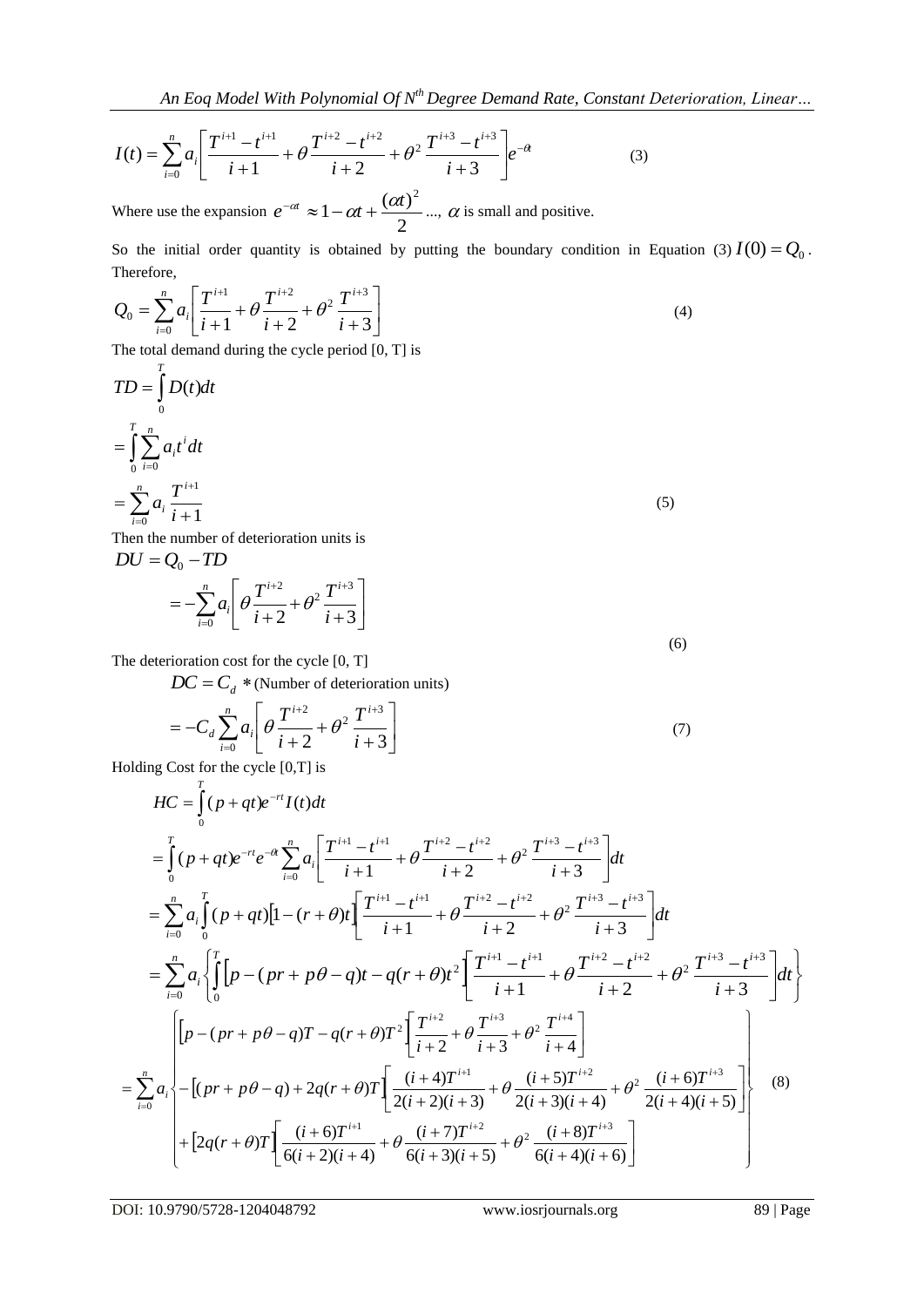$$
I(t) = \sum_{i=0}^{n} a_i \left[ \frac{T^{i+1} - t^{i+1}}{i+1} + \theta \frac{T^{i+2} - t^{i+2}}{i+2} + \theta^2 \frac{T^{i+3} - t^{i+3}}{i+3} \right] e^{-\theta t}
$$
(3)

Where use the expansion  $e^{-\alpha t} \approx 1 - \alpha t + \frac{\alpha}{2}$  $1-\alpha t+\frac{(\alpha t)}{2}$  $e^{-\alpha t} \approx 1 - \alpha t + \frac{(\alpha t)^2}{2}$  ...,  $\alpha$  is small and positive.

So the initial order quantity is obtained by putting the boundary condition in Equation (3)  $I(0) = Q_0$ . Therefore,

$$
Q_0 = \sum_{i=0}^n a_i \left[ \frac{T^{i+1}}{i+1} + \theta \frac{T^{i+2}}{i+2} + \theta^2 \frac{T^{i+3}}{i+3} \right]
$$
(4)

The total demand during the cycle period [0, T] is

$$
TD = \int_{0}^{T} D(t)dt
$$
  
= 
$$
\int_{0}^{T} \sum_{i=0}^{n} a_{i} t^{i} dt
$$
  
= 
$$
\sum_{i=0}^{n} a_{i} \frac{T^{i+1}}{i+1}
$$
 (5)

Then the number of deterioration units is  $DU = Q_0 - TD$ 

$$
=-\sum_{i=0}^n a_i \left[\theta \frac{T^{i+2}}{i+2} + \theta^2 \frac{T^{i+3}}{i+3}\right]
$$

The deterioration cost for the cycle [0, T]

 $DC = C_d$  \* (Number of deterioration units)

$$
= -C_d \sum_{i=0}^{n} a_i \left[ \theta \frac{T^{i+2}}{i+2} + \theta^2 \frac{T^{i+3}}{i+3} \right]
$$
(7)

Holding Cost for the cycle [0,T] is

$$
HC = \int_{0}^{T} (p+qt)e^{-rt}I(t)dt
$$
  
\n
$$
= \int_{0}^{T} (p+qt)e^{-rt}e^{-\alpha} \sum_{i=0}^{n} a_i \left[ \frac{T^{i+1}-t^{i+1}}{i+1} + \theta \frac{T^{i+2}-t^{i+2}}{i+2} + \theta^2 \frac{T^{i+3}-t^{i+3}}{i+3} \right]dt
$$
  
\n
$$
= \sum_{i=0}^{n} a_i \int_{0}^{T} (p+qt) [1 - (r+\theta)t] \left[ \frac{T^{i+1}-t^{i+1}}{i+1} + \theta \frac{T^{i+2}-t^{i+2}}{i+2} + \theta^2 \frac{T^{i+3}-t^{i+3}}{i+3} \right]dt
$$
  
\n
$$
= \sum_{i=0}^{n} a_i \left\{ \int_{0}^{T} [p - (pr+p\theta - q)t - q(r+\theta)t^2 \left[ \frac{T^{i+1}-t^{i+1}}{i+1} + \theta \frac{T^{i+2}-t^{i+2}}{i+2} + \theta^2 \frac{T^{i+3}-t^{i+3}}{i+3} \right]dt \right\}
$$
  
\n
$$
= \sum_{i=0}^{n} a_i \left\{ \left[ p - (pr+p\theta - q)T - q(r+\theta)T^2 \left[ \frac{T^{i+2}}{i+2} + \theta \frac{T^{i+3}}{i+3} + \theta^2 \frac{T^{i+4}}{i+4} \right] + \left[ \frac{(r+\theta)T^{i+2}}{2(i+2)(i+3)} + \theta \frac{T^{i+3}}{2(i+3)(i+4)} + \theta^2 \frac{T^{i+3}}{2(i+4)(i+5)} \right] \right\}
$$
  
\n
$$
+ [2q(r+\theta)T] \left[ \frac{(i+\theta)T^{i+1}}{6(i+2)(i+4)} + \theta \frac{(i+7)T^{i+2}}{6(i+3)(i+5)} + \theta^2 \frac{(i+8)T^{i+3}}{6(i+4)(i+6)} \right]
$$
  
\n(8)

DOI: 10.9790/5728-1204048792 www.iosrjournals.org 89 | Page

(6)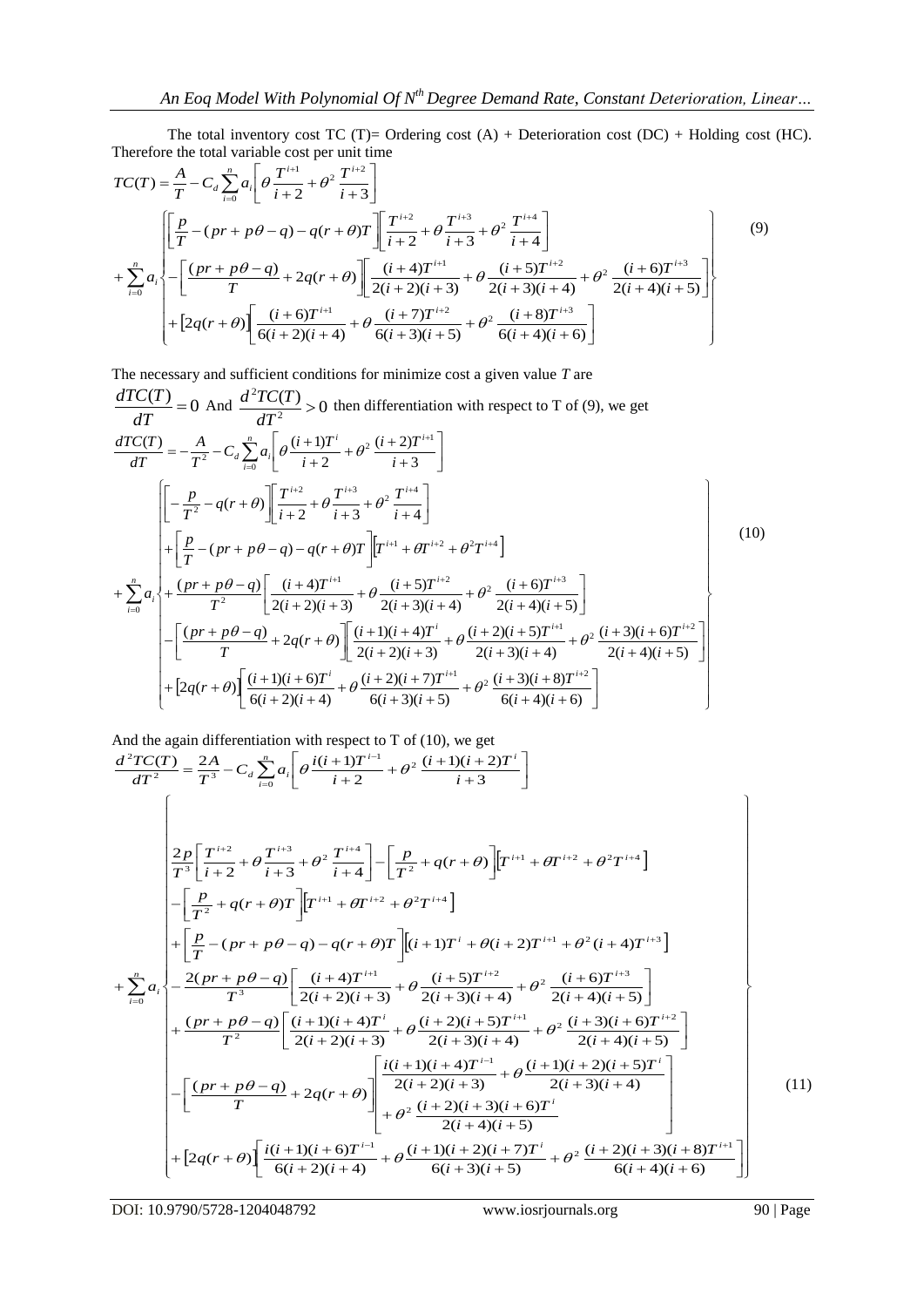The total inventory cost TC (T)= Ordering cost  $(A)$  + Deterioration cost  $(DC)$  + Holding cost  $(HC)$ . Therefore the total variable cost per unit time

$$
TC(T) = \frac{A}{T} - C_d \sum_{i=0}^{n} a_i \left[ \theta \frac{T^{i+1}}{i+2} + \theta^2 \frac{T^{i+2}}{i+3} \right]
$$
  
+ 
$$
\sum_{i=0}^{n} a_i \left\{ -\left[ \frac{p}{T} - (pr + p\theta - q) - q(r + \theta) T \right] \left[ \frac{T^{i+2}}{i+2} + \theta \frac{T^{i+3}}{i+3} + \theta^2 \frac{T^{i+4}}{i+4} \right] + \sum_{i=0}^{n} a_i \left\{ -\left[ \frac{(pr + p\theta - q)}{T} + 2q(r + \theta) \right] \left[ \frac{(i+4)T^{i+1}}{2(i+2)(i+3)} + \theta \frac{(i+5)T^{i+2}}{2(i+3)(i+4)} + \theta^2 \frac{(i+6)T^{i+3}}{2(i+4)(i+5)} \right] + \left[ 2q(r + \theta) \left[ \frac{(i+6)T^{i+1}}{6(i+2)(i+4)} + \theta \frac{(i+7)T^{i+2}}{6(i+3)(i+5)} + \theta^2 \frac{(i+8)T^{i+3}}{6(i+4)(i+6)} \right] \right]
$$

$$
(9)
$$

The necessary and sufficient conditions for minimize cost a given value *T* are

$$
\frac{dTC(T)}{dT} = 0 \text{ And } \frac{d^2TC(T)}{dT^2} > 0 \text{ then differentiation with respect to T of (9), we get}
$$
\n
$$
\frac{dTC(T)}{dT} = -\frac{A}{T^2} - C_d \sum_{i=0}^{n} a_i \left[ \theta \frac{(i+1)T^i}{i+2} + \theta^2 \frac{(i+2)T^{i+1}}{i+3} \right]
$$
\n
$$
\left[ -\frac{p}{T^2} - q(r+\theta) \right] \left[ \frac{T^{i+2}}{i+2} + \theta \frac{T^{i+3}}{i+3} + \theta^2 \frac{T^{i+4}}{i+4} \right]
$$
\n
$$
+ \sum_{i=0}^{n} a_i \left\{ + \frac{(p+r+p\theta-q) - q(r+\theta)T}{T^2} \left[ \frac{(i+4)T^{i+1}}{2(i+2)(i+3)} + \theta \frac{(i+5)T^{i+2}}{2(i+3)(i+4)} + \theta^2 \frac{(i+6)T^{i+3}}{2(i+4)(i+5)} \right] - \left[ \frac{(pr+p\theta-q)}{T} + 2q(r+\theta) \right] \left[ \frac{(i+1)(i+4)T^i}{2(i+2)(i+3)} + \theta \frac{(i+2)(i+5)T^{i+1}}{2(i+3)(i+4)} + \theta^2 \frac{(i+3)(i+6)T^{i+2}}{2(i+4)(i+5)} \right]
$$
\n
$$
+ [2q(r+\theta) \left[ \frac{(i+1)(i+6)T^i}{6(i+2)(i+4)} + \theta \frac{(i+2)(i+7)T^{i+1}}{6(i+3)(i+5)} + \theta^2 \frac{(i+3)(i+8)T^{i+2}}{6(i+4)(i+6)} \right]
$$
\n(10)

And the again differentiation with respect to T of (10), we get  
\n
$$
\frac{d^2TC(T)}{dT^2} = \frac{2A}{T^3} - C_d \sum_{i=0}^{n} a_i \left[ \theta \frac{i(i+1)T^{i-1}}{i+2} + \theta^2 \frac{(i+1)(i+2)T^i}{i+3} \right]
$$
\n
$$
\begin{bmatrix}\n\frac{2p}{T^3} \left[ \frac{T^{i+2}}{i+2} + \theta \frac{T^{i+3}}{i+3} + \theta^2 \frac{T^{i+4}}{i+4} \right] - \left[ \frac{p}{T^2} + q(r+\theta) \right] [T^{i+1} + \theta T^{i+2} + \theta^2 T^{i+4}] \\
-\left[ \frac{p}{T^2} + q(r+\theta)T \right] [T^{i+1} + \theta T^{i+2} + \theta^2 T^{i+4}] \\
+\left[ \frac{p}{T} - (pr + p\theta - q) - q(r+\theta)T \right] [(i+1)T^i + \theta(i+2)T^{i+1} + \theta^2(i+4)T^{i+3}] \\
+\sum_{i=0}^{n} a_i \left\{ \frac{2(pr + p\theta - q)}{T^3} \left[ \frac{(i+4)T^{i+1}}{2(i+2)(i+3)} + \theta \frac{(i+5)T^{i+2}}{2(i+3)(i+4)} + \theta^2 \frac{(i+6)T^{i+3}}{2(i+4)(i+5)} \right] \\
+\frac{(pr + p\theta - q)}{T^2} \left[ \frac{(i+1)(i+4)T^i}{2(i+2)(i+3)} + \theta \frac{(i+2)(i+5)T^{i+1}}{2(i+3)(i+4)} + \theta^2 \frac{(i+3)(i+6)T^{i+2}}{2(i+4)(i+5)} \right] \\
-\left[ \frac{(pr + p\theta - q)}{T} + 2q(r+\theta) \right] \left[ \frac{i(i+1)(i+4)T^{i-1}}{2(i+2)(i+3)} + \theta \frac{(i+1)(i+2)(i+5)T^i}{2(i+3)(i+4)} \right] \\
+ \theta^2 \frac{(i+2)(i+3)(i+6)T^i}{2(i+4)(i+5)}\n+ [2q(r+\theta) \left[ \frac{i(i+1)(i+6)T^{i-1}}{6(i+2)(i+4)} + \theta \frac{(i+1)(i+2)(i
$$

DOI: 10.9790/5728-1204048792 www.iosrjournals.org 90 | Page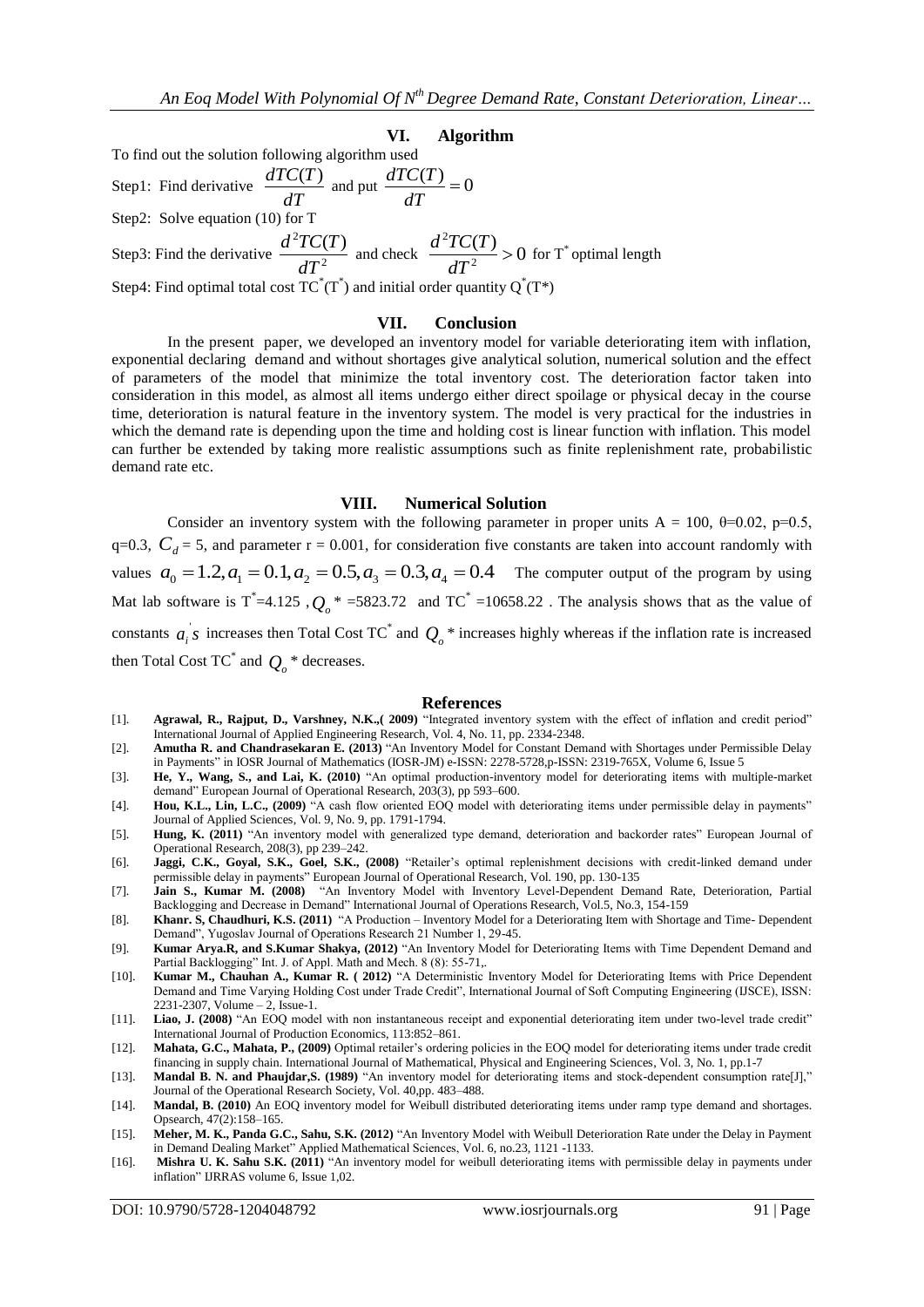#### **VI. Algorithm**

To find out the solution following algorithm used Step1: Find derivative  $\frac{dP}{dT}$  $\frac{dTC(T)}{dT}$  and put  $\frac{dTC(T)}{dT} = 0$ *dT*  $dTC(T)$ Step2: Solve equation (10) for T Step3: Find the derivative  $\frac{dP}{dT^2}$  ${}^2TC(T)$ *dT*  $\frac{d^2TC(T)}{dT^2}$  and check  $\frac{d^2TC(T)}{dT^2} > 0$ 2 2  $>$ *dT*  $\frac{d^2TC(T)}{dr^2}$  > 0 for T<sup>\*</sup> optimal length Step4: Find optimal total cost  $TC^*(T^*)$  and initial order quantity  $Q^*(T^*)$ 

# **VII. Conclusion**

In the present paper, we developed an inventory model for variable deteriorating item with inflation, exponential declaring demand and without shortages give analytical solution, numerical solution and the effect of parameters of the model that minimize the total inventory cost. The deterioration factor taken into consideration in this model, as almost all items undergo either direct spoilage or physical decay in the course time, deterioration is natural feature in the inventory system. The model is very practical for the industries in which the demand rate is depending upon the time and holding cost is linear function with inflation. This model can further be extended by taking more realistic assumptions such as finite replenishment rate, probabilistic demand rate etc.

#### **VIII. Numerical Solution**

Consider an inventory system with the following parameter in proper units A = 100,  $\theta$ =0.02, p=0.5,  $q=0.3$ ,  $C_d = 5$ , and parameter  $r = 0.001$ , for consideration five constants are taken into account randomly with values  $a_0 = 1.2, a_1 = 0.1, a_2 = 0.5, a_3 = 0.3, a_4 = 0.4$  The computer output of the program by using Mat lab software is  $T^* = 4.125$ ,  $Q_o^* = 5823.72$  and  $TC^* = 10658.22$ . The analysis shows that as the value of constants  $a_i$  *s* increases then Total Cost TC<sup>\*</sup> and  $Q_o$ <sup>\*</sup> increases highly whereas if the inflation rate is increased then Total Cost TC $^*$  and  $Q_o$ <sup>\*</sup> decreases.

#### **References**

- [1]. **Agrawal, R., Rajput, D., Varshney, N.K.,( 2009)** "Integrated inventory system with the effect of inflation and credit period" International Journal of Applied Engineering Research, Vol. 4, No. 11, pp. 2334-2348.
- [2]. **Amutha R. and Chandrasekaran E. (2013)** "An Inventory Model for Constant Demand with Shortages under Permissible Delay in Payments" in IOSR Journal of Mathematics (IOSR-JM) e-ISSN: 2278-5728,p-ISSN: 2319-765X, Volume 6, Issue 5
- [3]. **He, Y., Wang, S., and Lai, K. (2010)** "An optimal production-inventory model for deteriorating items with multiple-market demand" European Journal of Operational Research, 203(3), pp 593–600.
- [4]. **Hou, K.L., Lin, L.C., (2009)** "A cash flow oriented EOQ model with deteriorating items under permissible delay in payments" Journal of Applied Sciences, Vol. 9, No. 9, pp. 1791-1794.
- [5]. **Hung, K. (2011)** "An inventory model with generalized type demand, deterioration and backorder rates" European Journal of Operational Research, 208(3), pp 239–242.
- [6]. **Jaggi, C.K., Goyal, S.K., Goel, S.K., (2008)** "Retailer's optimal replenishment decisions with credit-linked demand under permissible delay in payments" European Journal of Operational Research, Vol. 190, pp. 130-135
- [7]. **Jain S., Kumar M. (2008)** "An Inventory Model with Inventory Level-Dependent Demand Rate, Deterioration, Partial Backlogging and Decrease in Demand" International Journal of Operations Research, Vol.5, No.3, 154-159
- [8]. **Khanr. S, Chaudhuri, K.S. (2011)** "A Production Inventory Model for a Deteriorating Item with Shortage and Time- Dependent Demand", Yugoslav Journal of Operations Research 21 Number 1, 29-45.
- [9]. **Kumar Arya.R, and S.Kumar Shakya, (2012)** "An Inventory Model for Deteriorating Items with Time Dependent Demand and Partial Backlogging" Int. J. of Appl. Math and Mech. 8 (8): 55-71,.
- [10]. **Kumar M., Chauhan A., Kumar R. ( 2012)** "A Deterministic Inventory Model for Deteriorating Items with Price Dependent Demand and Time Varying Holding Cost under Trade Credit", International Journal of Soft Computing Engineering (IJSCE), ISSN: 2231-2307, Volume – 2, Issue-1.
- [11]. **Liao, J. (2008)** "An EOQ model with non instantaneous receipt and exponential deteriorating item under two-level trade credit" International Journal of Production Economics, 113:852–861.
- [12]. **Mahata, G.C., Mahata, P., (2009)** Optimal retailer's ordering policies in the EOQ model for deteriorating items under trade credit financing in supply chain. International Journal of Mathematical, Physical and Engineering Sciences, Vol. 3, No. 1, pp.1-7
- [13]. **Mandal B. N. and Phaujdar,S. (1989)** "An inventory model for deteriorating items and stock-dependent consumption rate[J]," Journal of the Operational Research Society, Vol. 40,pp. 483–488.
- [14]. **Mandal, B. (2010)** An EOQ inventory model for Weibull distributed deteriorating items under ramp type demand and shortages. Opsearch, 47(2):158–165.
- [15]. **Meher, M. K., Panda G.C., Sahu, S.K. (2012)** "An Inventory Model with Weibull Deterioration Rate under the Delay in Payment in Demand Dealing Market" Applied Mathematical Sciences, Vol. 6, no.23, 1121 -1133.
- [16]. **Mishra U. K. Sahu S.K. (2011)** "An inventory model for weibull deteriorating items with permissible delay in payments under inflation" IJRRAS volume 6, Issue 1,02.